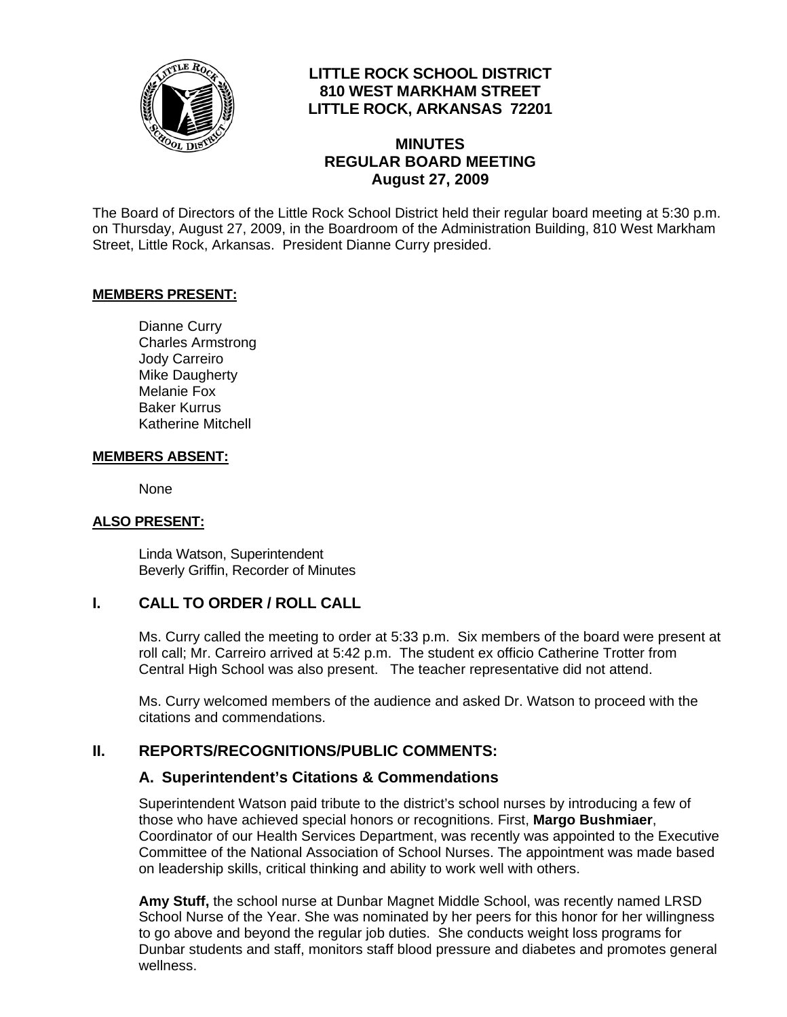

## **LITTLE ROCK SCHOOL DISTRICT 810 WEST MARKHAM STREET LITTLE ROCK, ARKANSAS 72201**

## **MINUTES REGULAR BOARD MEETING August 27, 2009**

The Board of Directors of the Little Rock School District held their regular board meeting at 5:30 p.m. on Thursday, August 27, 2009, in the Boardroom of the Administration Building, 810 West Markham Street, Little Rock, Arkansas. President Dianne Curry presided.

#### **MEMBERS PRESENT:**

Dianne Curry Charles Armstrong Jody Carreiro Mike Daugherty Melanie Fox Baker Kurrus Katherine Mitchell

#### **MEMBERS ABSENT:**

None

#### **ALSO PRESENT:**

 Linda Watson, Superintendent Beverly Griffin, Recorder of Minutes

#### **I. CALL TO ORDER / ROLL CALL**

Ms. Curry called the meeting to order at 5:33 p.m. Six members of the board were present at roll call; Mr. Carreiro arrived at 5:42 p.m. The student ex officio Catherine Trotter from Central High School was also present. The teacher representative did not attend.

Ms. Curry welcomed members of the audience and asked Dr. Watson to proceed with the citations and commendations.

#### **II. REPORTS/RECOGNITIONS/PUBLIC COMMENTS:**

#### **A. Superintendent's Citations & Commendations**

Superintendent Watson paid tribute to the district's school nurses by introducing a few of those who have achieved special honors or recognitions. First, **Margo Bushmiaer**, Coordinator of our Health Services Department, was recently was appointed to the Executive Committee of the National Association of School Nurses. The appointment was made based on leadership skills, critical thinking and ability to work well with others.

**Amy Stuff,** the school nurse at Dunbar Magnet Middle School, was recently named LRSD School Nurse of the Year. She was nominated by her peers for this honor for her willingness to go above and beyond the regular job duties. She conducts weight loss programs for Dunbar students and staff, monitors staff blood pressure and diabetes and promotes general wellness.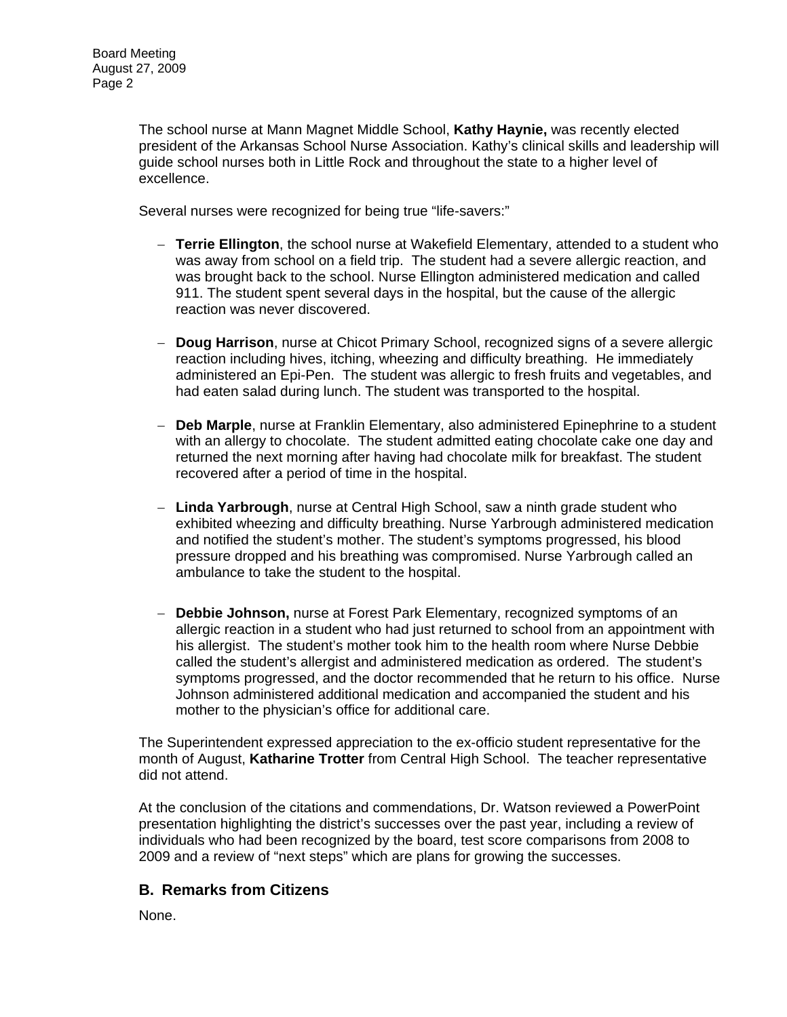The school nurse at Mann Magnet Middle School, **Kathy Haynie,** was recently elected president of the Arkansas School Nurse Association. Kathy's clinical skills and leadership will guide school nurses both in Little Rock and throughout the state to a higher level of excellence.

Several nurses were recognized for being true "life-savers:"

- − **Terrie Ellington**, the school nurse at Wakefield Elementary, attended to a student who was away from school on a field trip. The student had a severe allergic reaction, and was brought back to the school. Nurse Ellington administered medication and called 911. The student spent several days in the hospital, but the cause of the allergic reaction was never discovered.
- − **Doug Harrison**, nurse at Chicot Primary School, recognized signs of a severe allergic reaction including hives, itching, wheezing and difficulty breathing. He immediately administered an Epi-Pen. The student was allergic to fresh fruits and vegetables, and had eaten salad during lunch. The student was transported to the hospital.
- − **Deb Marple**, nurse at Franklin Elementary, also administered Epinephrine to a student with an allergy to chocolate. The student admitted eating chocolate cake one day and returned the next morning after having had chocolate milk for breakfast. The student recovered after a period of time in the hospital.
- − **Linda Yarbrough**, nurse at Central High School, saw a ninth grade student who exhibited wheezing and difficulty breathing. Nurse Yarbrough administered medication and notified the student's mother. The student's symptoms progressed, his blood pressure dropped and his breathing was compromised. Nurse Yarbrough called an ambulance to take the student to the hospital.
- − **Debbie Johnson,** nurse at Forest Park Elementary, recognized symptoms of an allergic reaction in a student who had just returned to school from an appointment with his allergist. The student's mother took him to the health room where Nurse Debbie called the student's allergist and administered medication as ordered. The student's symptoms progressed, and the doctor recommended that he return to his office. Nurse Johnson administered additional medication and accompanied the student and his mother to the physician's office for additional care.

The Superintendent expressed appreciation to the ex-officio student representative for the month of August, **Katharine Trotter** from Central High School. The teacher representative did not attend.

At the conclusion of the citations and commendations, Dr. Watson reviewed a PowerPoint presentation highlighting the district's successes over the past year, including a review of individuals who had been recognized by the board, test score comparisons from 2008 to 2009 and a review of "next steps" which are plans for growing the successes.

#### **B. Remarks from Citizens**

None.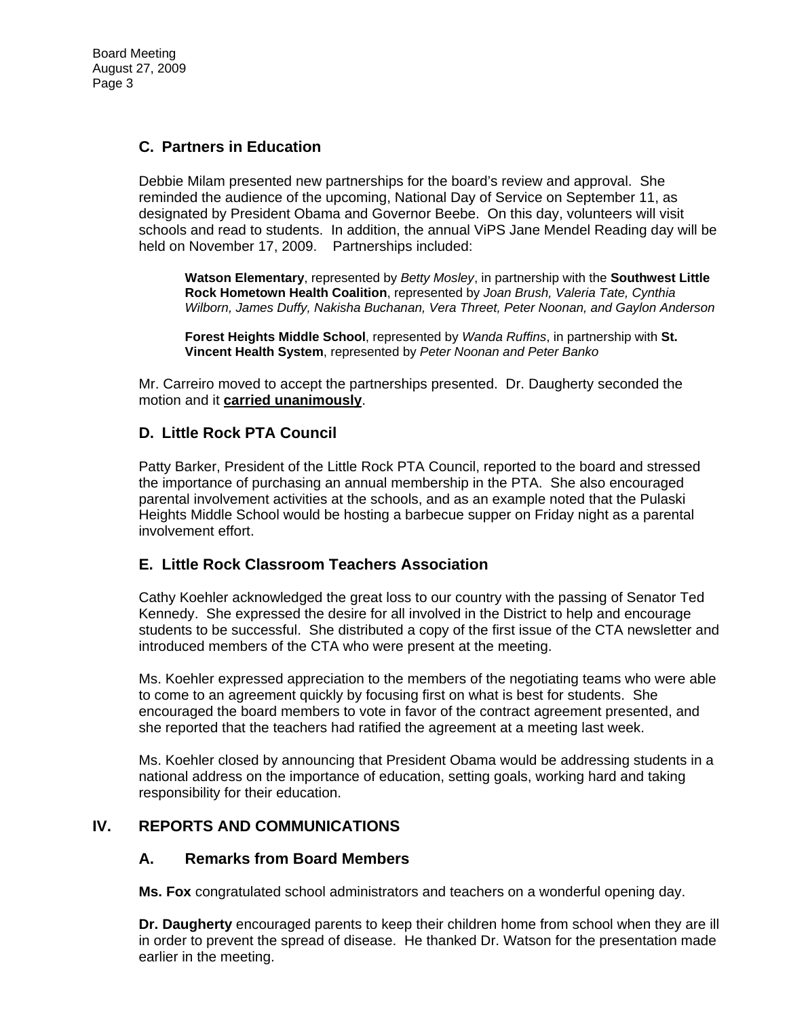# **C. Partners in Education**

Debbie Milam presented new partnerships for the board's review and approval. She reminded the audience of the upcoming, National Day of Service on September 11, as designated by President Obama and Governor Beebe. On this day, volunteers will visit schools and read to students. In addition, the annual ViPS Jane Mendel Reading day will be held on November 17, 2009. Partnerships included:

**Watson Elementary**, represented by *Betty Mosley*, in partnership with the **Southwest Little Rock Hometown Health Coalition**, represented by *Joan Brush, Valeria Tate, Cynthia Wilborn, James Duffy, Nakisha Buchanan, Vera Threet, Peter Noonan, and Gaylon Anderson* 

**Forest Heights Middle School**, represented by *Wanda Ruffins*, in partnership with **St. Vincent Health System**, represented by *Peter Noonan and Peter Banko*

Mr. Carreiro moved to accept the partnerships presented. Dr. Daugherty seconded the motion and it **carried unanimously**.

#### **D. Little Rock PTA Council**

Patty Barker, President of the Little Rock PTA Council, reported to the board and stressed the importance of purchasing an annual membership in the PTA. She also encouraged parental involvement activities at the schools, and as an example noted that the Pulaski Heights Middle School would be hosting a barbecue supper on Friday night as a parental involvement effort.

#### **E. Little Rock Classroom Teachers Association**

Cathy Koehler acknowledged the great loss to our country with the passing of Senator Ted Kennedy. She expressed the desire for all involved in the District to help and encourage students to be successful. She distributed a copy of the first issue of the CTA newsletter and introduced members of the CTA who were present at the meeting.

Ms. Koehler expressed appreciation to the members of the negotiating teams who were able to come to an agreement quickly by focusing first on what is best for students. She encouraged the board members to vote in favor of the contract agreement presented, and she reported that the teachers had ratified the agreement at a meeting last week.

Ms. Koehler closed by announcing that President Obama would be addressing students in a national address on the importance of education, setting goals, working hard and taking responsibility for their education.

#### **IV. REPORTS AND COMMUNICATIONS**

#### **A. Remarks from Board Members**

**Ms. Fox** congratulated school administrators and teachers on a wonderful opening day.

**Dr. Daugherty** encouraged parents to keep their children home from school when they are ill in order to prevent the spread of disease. He thanked Dr. Watson for the presentation made earlier in the meeting.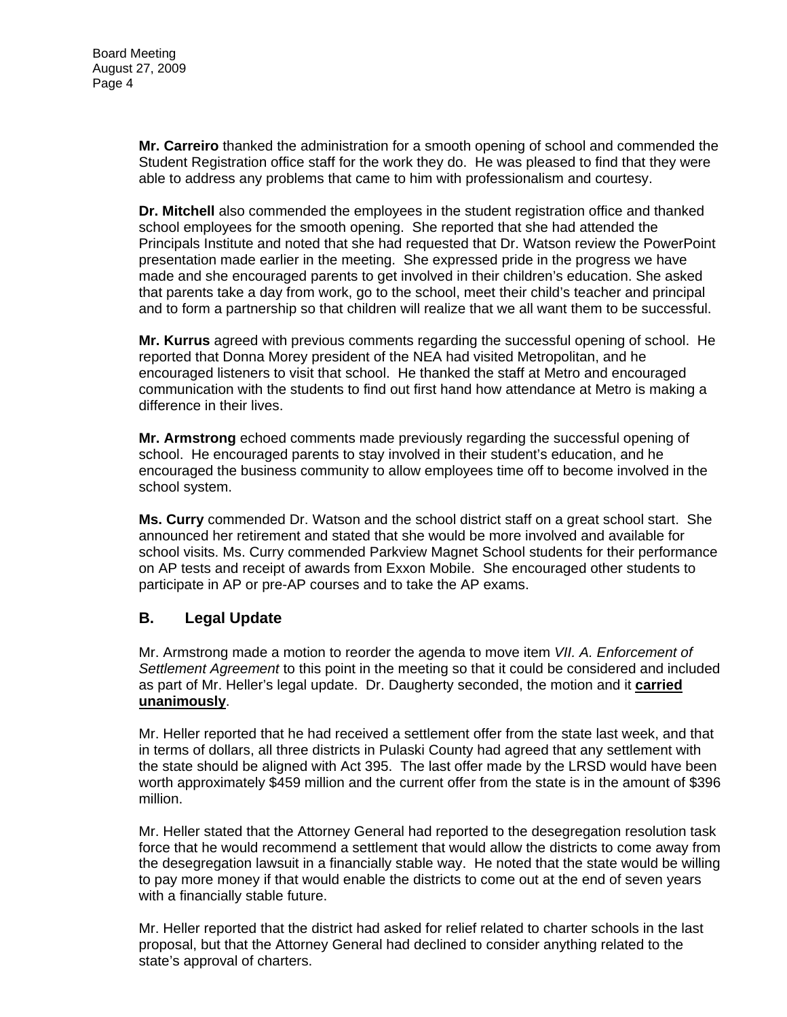**Mr. Carreiro** thanked the administration for a smooth opening of school and commended the Student Registration office staff for the work they do. He was pleased to find that they were able to address any problems that came to him with professionalism and courtesy.

**Dr. Mitchell** also commended the employees in the student registration office and thanked school employees for the smooth opening. She reported that she had attended the Principals Institute and noted that she had requested that Dr. Watson review the PowerPoint presentation made earlier in the meeting. She expressed pride in the progress we have made and she encouraged parents to get involved in their children's education. She asked that parents take a day from work, go to the school, meet their child's teacher and principal and to form a partnership so that children will realize that we all want them to be successful.

**Mr. Kurrus** agreed with previous comments regarding the successful opening of school. He reported that Donna Morey president of the NEA had visited Metropolitan, and he encouraged listeners to visit that school. He thanked the staff at Metro and encouraged communication with the students to find out first hand how attendance at Metro is making a difference in their lives.

**Mr. Armstrong** echoed comments made previously regarding the successful opening of school. He encouraged parents to stay involved in their student's education, and he encouraged the business community to allow employees time off to become involved in the school system.

**Ms. Curry** commended Dr. Watson and the school district staff on a great school start. She announced her retirement and stated that she would be more involved and available for school visits. Ms. Curry commended Parkview Magnet School students for their performance on AP tests and receipt of awards from Exxon Mobile. She encouraged other students to participate in AP or pre-AP courses and to take the AP exams.

# **B. Legal Update**

Mr. Armstrong made a motion to reorder the agenda to move item *VII. A. Enforcement of Settlement Agreement* to this point in the meeting so that it could be considered and included as part of Mr. Heller's legal update. Dr. Daugherty seconded, the motion and it **carried unanimously**.

Mr. Heller reported that he had received a settlement offer from the state last week, and that in terms of dollars, all three districts in Pulaski County had agreed that any settlement with the state should be aligned with Act 395. The last offer made by the LRSD would have been worth approximately \$459 million and the current offer from the state is in the amount of \$396 million.

Mr. Heller stated that the Attorney General had reported to the desegregation resolution task force that he would recommend a settlement that would allow the districts to come away from the desegregation lawsuit in a financially stable way. He noted that the state would be willing to pay more money if that would enable the districts to come out at the end of seven years with a financially stable future.

Mr. Heller reported that the district had asked for relief related to charter schools in the last proposal, but that the Attorney General had declined to consider anything related to the state's approval of charters.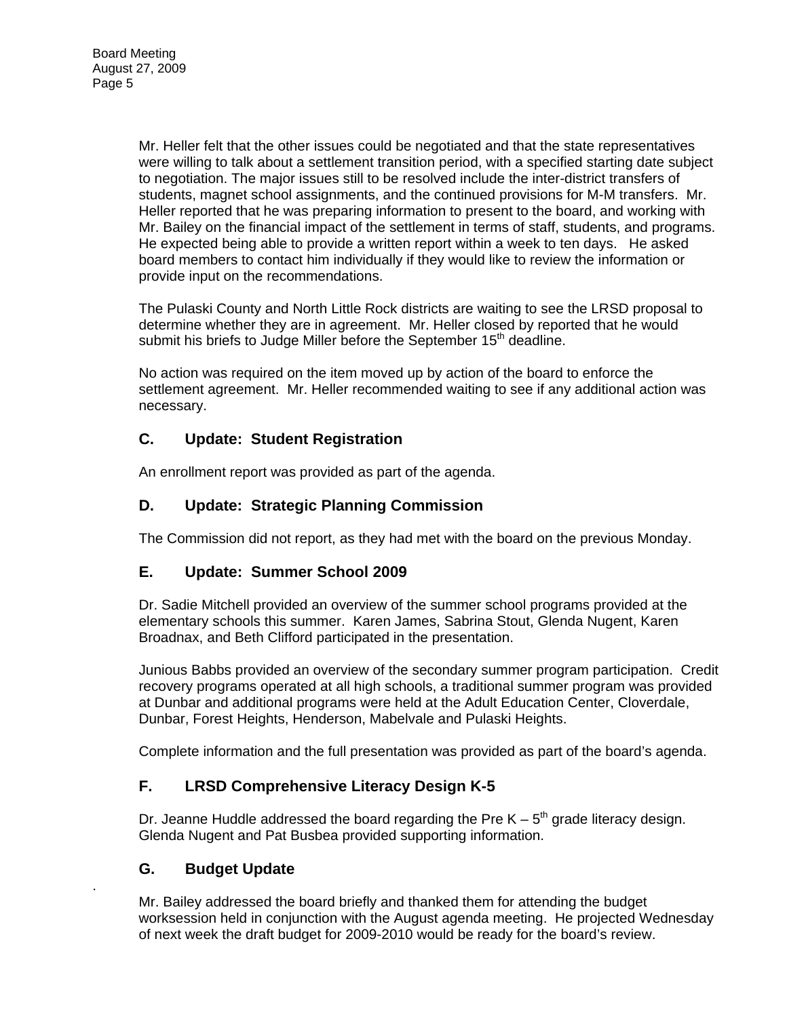Mr. Heller felt that the other issues could be negotiated and that the state representatives were willing to talk about a settlement transition period, with a specified starting date subject to negotiation. The major issues still to be resolved include the inter-district transfers of students, magnet school assignments, and the continued provisions for M-M transfers. Mr. Heller reported that he was preparing information to present to the board, and working with Mr. Bailey on the financial impact of the settlement in terms of staff, students, and programs. He expected being able to provide a written report within a week to ten days. He asked board members to contact him individually if they would like to review the information or provide input on the recommendations.

The Pulaski County and North Little Rock districts are waiting to see the LRSD proposal to determine whether they are in agreement. Mr. Heller closed by reported that he would submit his briefs to Judge Miller before the September 15<sup>th</sup> deadline.

No action was required on the item moved up by action of the board to enforce the settlement agreement. Mr. Heller recommended waiting to see if any additional action was necessary.

# **C. Update: Student Registration**

An enrollment report was provided as part of the agenda.

## **D. Update: Strategic Planning Commission**

The Commission did not report, as they had met with the board on the previous Monday.

#### **E. Update: Summer School 2009**

Dr. Sadie Mitchell provided an overview of the summer school programs provided at the elementary schools this summer. Karen James, Sabrina Stout, Glenda Nugent, Karen Broadnax, and Beth Clifford participated in the presentation.

Junious Babbs provided an overview of the secondary summer program participation. Credit recovery programs operated at all high schools, a traditional summer program was provided at Dunbar and additional programs were held at the Adult Education Center, Cloverdale, Dunbar, Forest Heights, Henderson, Mabelvale and Pulaski Heights.

Complete information and the full presentation was provided as part of the board's agenda.

# **F. LRSD Comprehensive Literacy Design K-5**

Dr. Jeanne Huddle addressed the board regarding the Pre  $K - 5<sup>th</sup>$  grade literacy design. Glenda Nugent and Pat Busbea provided supporting information.

#### **G. Budget Update**

.

Mr. Bailey addressed the board briefly and thanked them for attending the budget worksession held in conjunction with the August agenda meeting. He projected Wednesday of next week the draft budget for 2009-2010 would be ready for the board's review.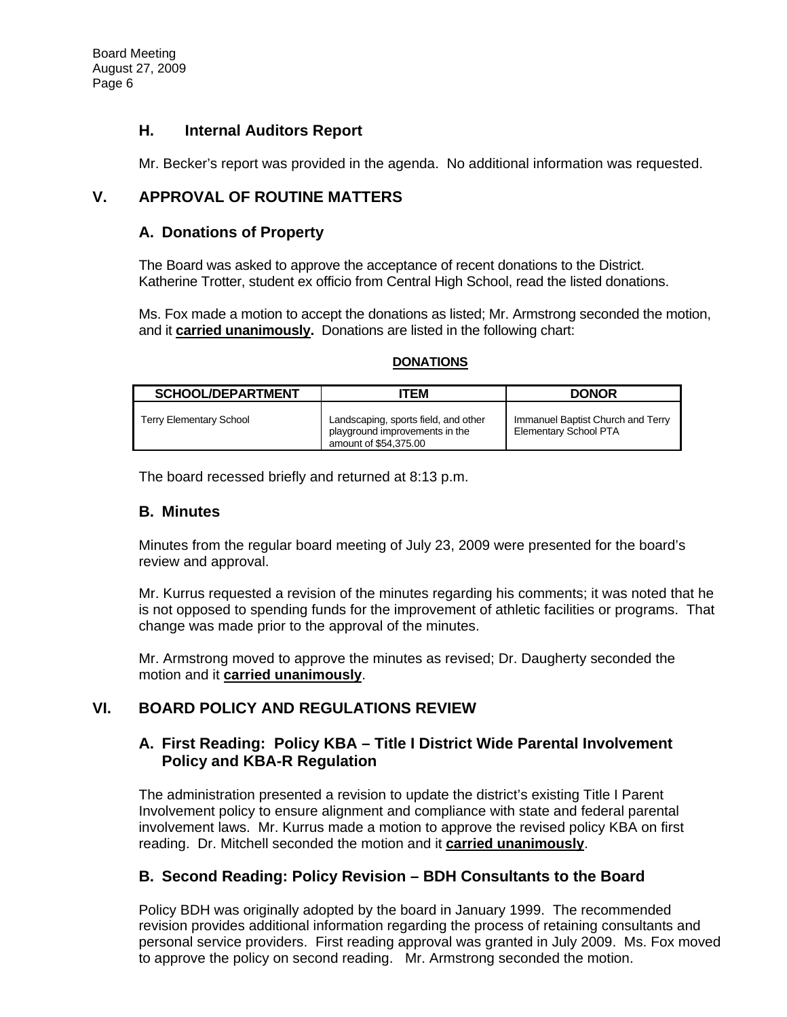## **H. Internal Auditors Report**

Mr. Becker's report was provided in the agenda. No additional information was requested.

# **V. APPROVAL OF ROUTINE MATTERS**

## **A. Donations of Property**

The Board was asked to approve the acceptance of recent donations to the District. Katherine Trotter, student ex officio from Central High School, read the listed donations.

Ms. Fox made a motion to accept the donations as listed; Mr. Armstrong seconded the motion, and it **carried unanimously.** Donations are listed in the following chart:

#### **DONATIONS**

| <b>SCHOOL/DEPARTMENT</b> | ITEM                                                                                            | <b>DONOR</b>                                                      |
|--------------------------|-------------------------------------------------------------------------------------------------|-------------------------------------------------------------------|
| Terry Elementary School  | Landscaping, sports field, and other<br>playground improvements in the<br>amount of \$54,375,00 | Immanuel Baptist Church and Terry<br><b>Elementary School PTA</b> |

The board recessed briefly and returned at 8:13 p.m.

#### **B. Minutes**

Minutes from the regular board meeting of July 23, 2009 were presented for the board's review and approval.

Mr. Kurrus requested a revision of the minutes regarding his comments; it was noted that he is not opposed to spending funds for the improvement of athletic facilities or programs. That change was made prior to the approval of the minutes.

Mr. Armstrong moved to approve the minutes as revised; Dr. Daugherty seconded the motion and it **carried unanimously**.

# **VI. BOARD POLICY AND REGULATIONS REVIEW**

#### **A. First Reading: Policy KBA – Title I District Wide Parental Involvement Policy and KBA-R Regulation**

The administration presented a revision to update the district's existing Title I Parent Involvement policy to ensure alignment and compliance with state and federal parental involvement laws. Mr. Kurrus made a motion to approve the revised policy KBA on first reading. Dr. Mitchell seconded the motion and it **carried unanimously**.

#### **B. Second Reading: Policy Revision – BDH Consultants to the Board**

Policy BDH was originally adopted by the board in January 1999. The recommended revision provides additional information regarding the process of retaining consultants and personal service providers. First reading approval was granted in July 2009. Ms. Fox moved to approve the policy on second reading. Mr. Armstrong seconded the motion.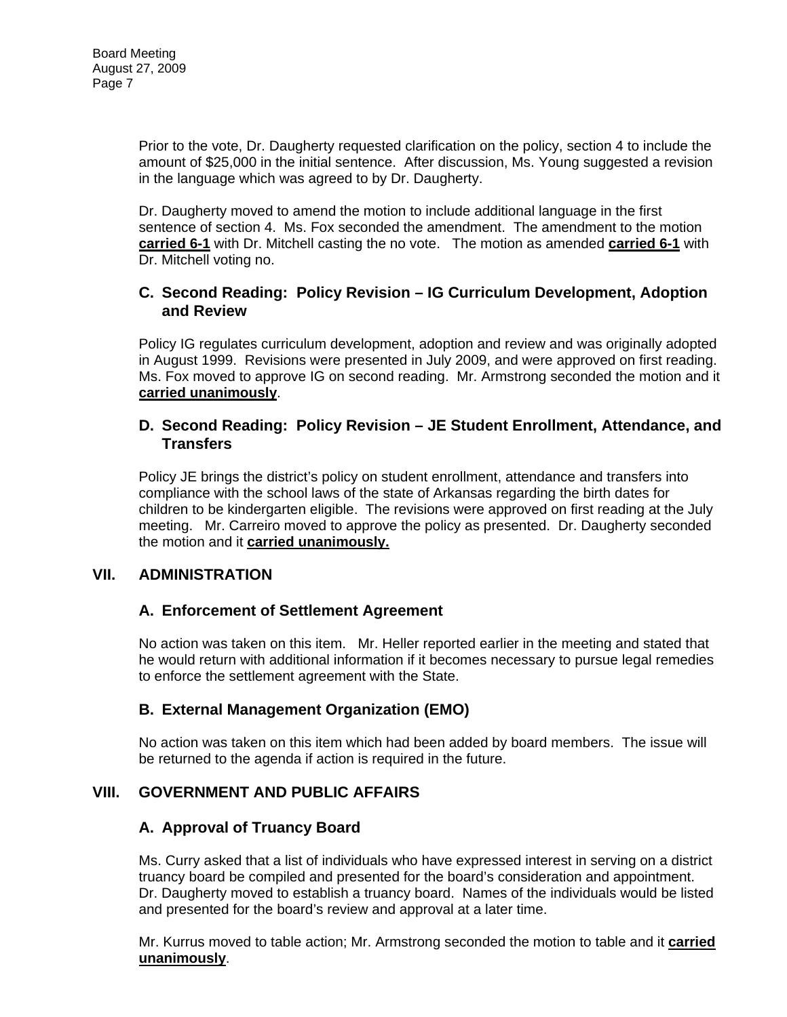Prior to the vote, Dr. Daugherty requested clarification on the policy, section 4 to include the amount of \$25,000 in the initial sentence. After discussion, Ms. Young suggested a revision in the language which was agreed to by Dr. Daugherty.

Dr. Daugherty moved to amend the motion to include additional language in the first sentence of section 4. Ms. Fox seconded the amendment. The amendment to the motion **carried 6-1** with Dr. Mitchell casting the no vote. The motion as amended **carried 6-1** with Dr. Mitchell voting no.

#### **C. Second Reading: Policy Revision – IG Curriculum Development, Adoption and Review**

Policy IG regulates curriculum development, adoption and review and was originally adopted in August 1999. Revisions were presented in July 2009, and were approved on first reading. Ms. Fox moved to approve IG on second reading. Mr. Armstrong seconded the motion and it **carried unanimously**.

#### **D. Second Reading: Policy Revision – JE Student Enrollment, Attendance, and Transfers**

Policy JE brings the district's policy on student enrollment, attendance and transfers into compliance with the school laws of the state of Arkansas regarding the birth dates for children to be kindergarten eligible. The revisions were approved on first reading at the July meeting. Mr. Carreiro moved to approve the policy as presented. Dr. Daugherty seconded the motion and it **carried unanimously.** 

#### **VII. ADMINISTRATION**

#### **A. Enforcement of Settlement Agreement**

No action was taken on this item. Mr. Heller reported earlier in the meeting and stated that he would return with additional information if it becomes necessary to pursue legal remedies to enforce the settlement agreement with the State.

#### **B. External Management Organization (EMO)**

No action was taken on this item which had been added by board members. The issue will be returned to the agenda if action is required in the future.

#### **VIII. GOVERNMENT AND PUBLIC AFFAIRS**

#### **A. Approval of Truancy Board**

Ms. Curry asked that a list of individuals who have expressed interest in serving on a district truancy board be compiled and presented for the board's consideration and appointment. Dr. Daugherty moved to establish a truancy board. Names of the individuals would be listed and presented for the board's review and approval at a later time.

Mr. Kurrus moved to table action; Mr. Armstrong seconded the motion to table and it **carried unanimously**.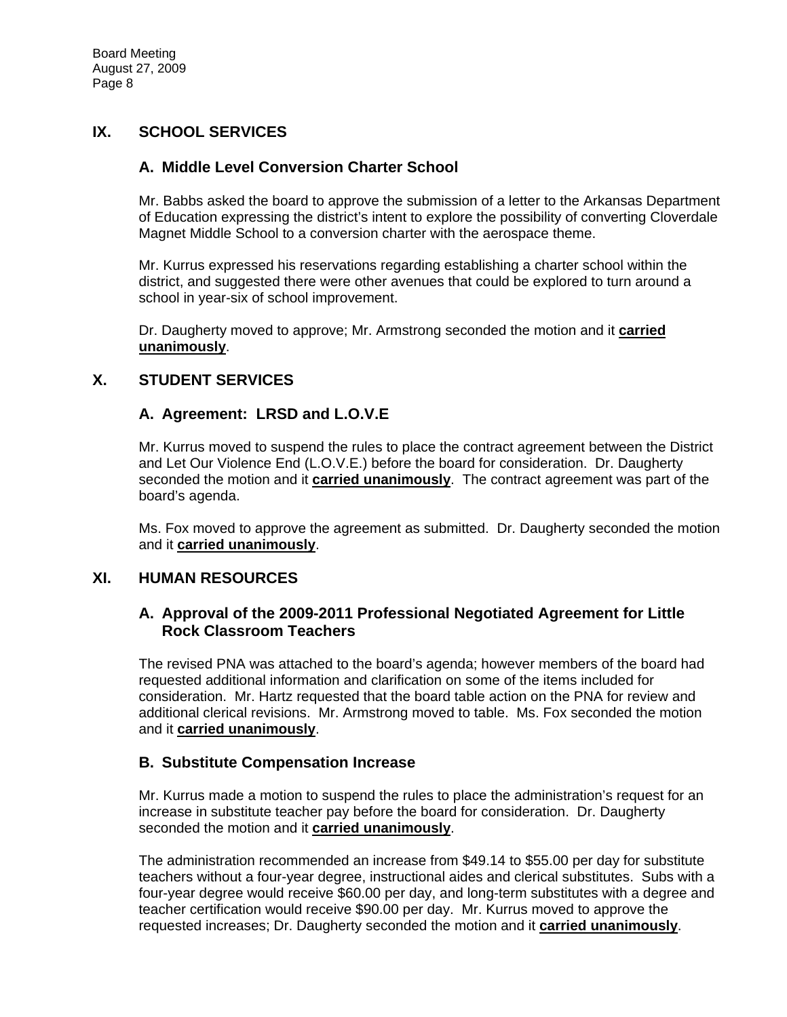## **IX. SCHOOL SERVICES**

#### **A. Middle Level Conversion Charter School**

Mr. Babbs asked the board to approve the submission of a letter to the Arkansas Department of Education expressing the district's intent to explore the possibility of converting Cloverdale Magnet Middle School to a conversion charter with the aerospace theme.

Mr. Kurrus expressed his reservations regarding establishing a charter school within the district, and suggested there were other avenues that could be explored to turn around a school in year-six of school improvement.

Dr. Daugherty moved to approve; Mr. Armstrong seconded the motion and it **carried unanimously**.

#### **X. STUDENT SERVICES**

#### **A. Agreement: LRSD and L.O.V.E**

Mr. Kurrus moved to suspend the rules to place the contract agreement between the District and Let Our Violence End (L.O.V.E.) before the board for consideration. Dr. Daugherty seconded the motion and it **carried unanimously**. The contract agreement was part of the board's agenda.

Ms. Fox moved to approve the agreement as submitted. Dr. Daugherty seconded the motion and it **carried unanimously**.

#### **XI. HUMAN RESOURCES**

#### **A. Approval of the 2009-2011 Professional Negotiated Agreement for Little Rock Classroom Teachers**

The revised PNA was attached to the board's agenda; however members of the board had requested additional information and clarification on some of the items included for consideration. Mr. Hartz requested that the board table action on the PNA for review and additional clerical revisions. Mr. Armstrong moved to table. Ms. Fox seconded the motion and it **carried unanimously**.

#### **B. Substitute Compensation Increase**

Mr. Kurrus made a motion to suspend the rules to place the administration's request for an increase in substitute teacher pay before the board for consideration. Dr. Daugherty seconded the motion and it **carried unanimously**.

The administration recommended an increase from \$49.14 to \$55.00 per day for substitute teachers without a four-year degree, instructional aides and clerical substitutes. Subs with a four-year degree would receive \$60.00 per day, and long-term substitutes with a degree and teacher certification would receive \$90.00 per day. Mr. Kurrus moved to approve the requested increases; Dr. Daugherty seconded the motion and it **carried unanimously**.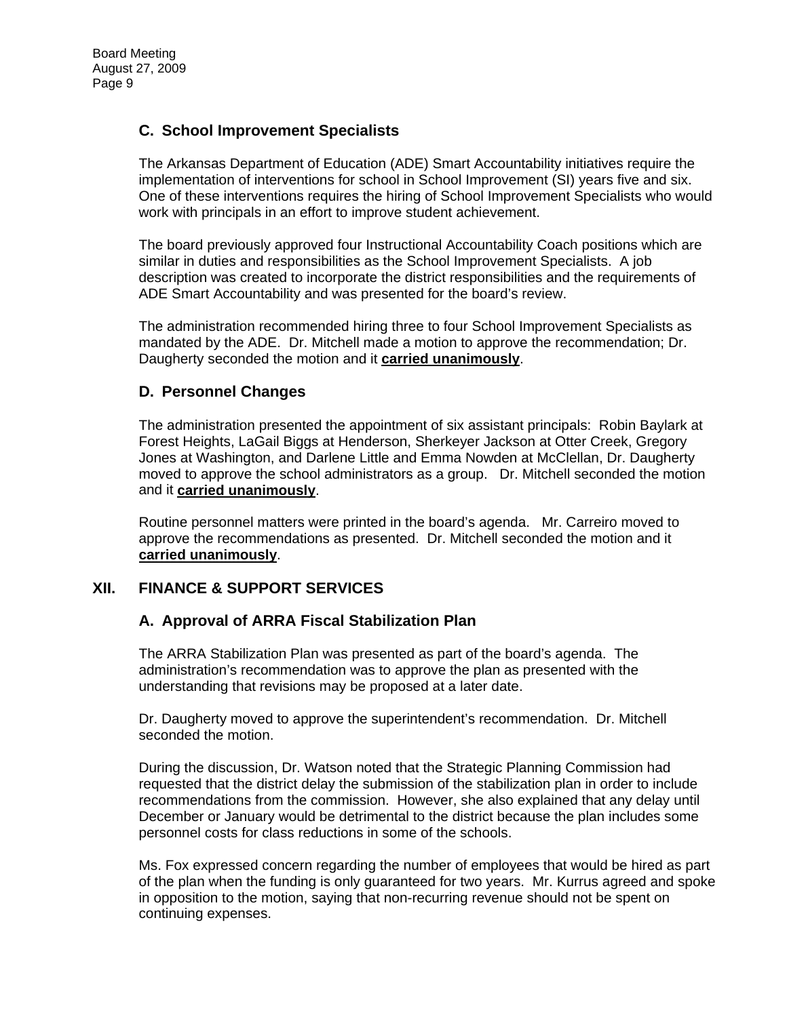## **C. School Improvement Specialists**

The Arkansas Department of Education (ADE) Smart Accountability initiatives require the implementation of interventions for school in School Improvement (SI) years five and six. One of these interventions requires the hiring of School Improvement Specialists who would work with principals in an effort to improve student achievement.

The board previously approved four Instructional Accountability Coach positions which are similar in duties and responsibilities as the School Improvement Specialists. A job description was created to incorporate the district responsibilities and the requirements of ADE Smart Accountability and was presented for the board's review.

The administration recommended hiring three to four School Improvement Specialists as mandated by the ADE. Dr. Mitchell made a motion to approve the recommendation; Dr. Daugherty seconded the motion and it **carried unanimously**.

## **D. Personnel Changes**

The administration presented the appointment of six assistant principals: Robin Baylark at Forest Heights, LaGail Biggs at Henderson, Sherkeyer Jackson at Otter Creek, Gregory Jones at Washington, and Darlene Little and Emma Nowden at McClellan, Dr. Daugherty moved to approve the school administrators as a group. Dr. Mitchell seconded the motion and it **carried unanimously**.

Routine personnel matters were printed in the board's agenda. Mr. Carreiro moved to approve the recommendations as presented. Dr. Mitchell seconded the motion and it **carried unanimously**.

#### **XII. FINANCE & SUPPORT SERVICES**

#### **A. Approval of ARRA Fiscal Stabilization Plan**

The ARRA Stabilization Plan was presented as part of the board's agenda. The administration's recommendation was to approve the plan as presented with the understanding that revisions may be proposed at a later date.

Dr. Daugherty moved to approve the superintendent's recommendation. Dr. Mitchell seconded the motion.

During the discussion, Dr. Watson noted that the Strategic Planning Commission had requested that the district delay the submission of the stabilization plan in order to include recommendations from the commission. However, she also explained that any delay until December or January would be detrimental to the district because the plan includes some personnel costs for class reductions in some of the schools.

Ms. Fox expressed concern regarding the number of employees that would be hired as part of the plan when the funding is only guaranteed for two years. Mr. Kurrus agreed and spoke in opposition to the motion, saying that non-recurring revenue should not be spent on continuing expenses.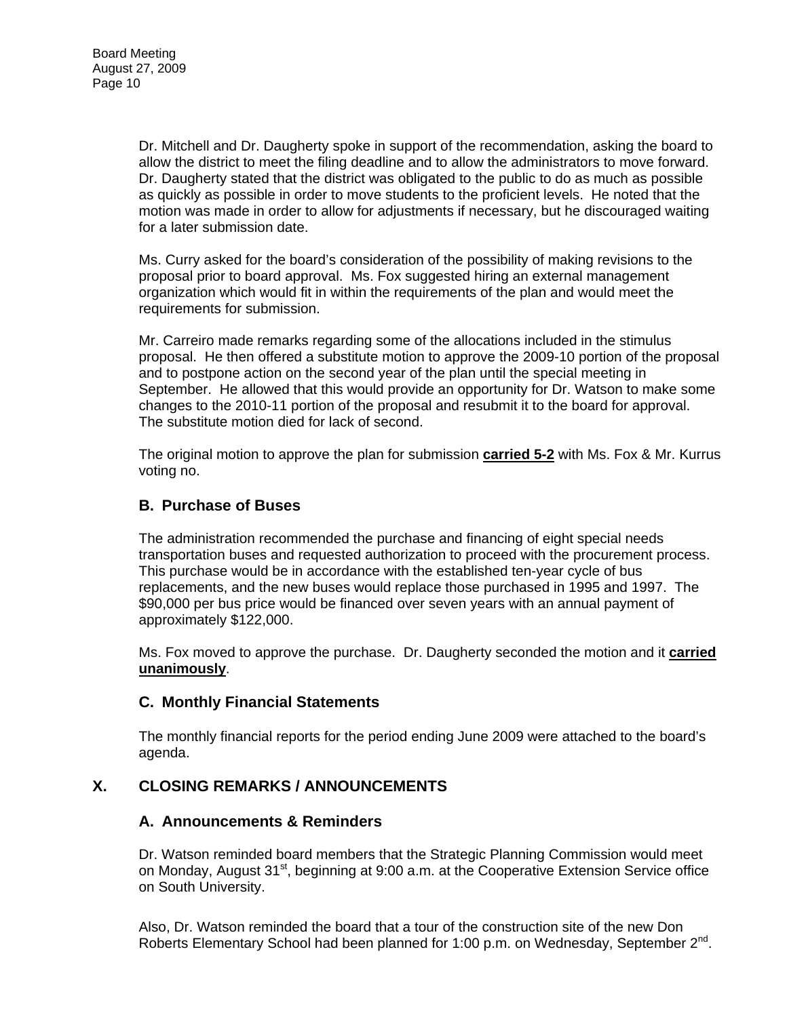Dr. Mitchell and Dr. Daugherty spoke in support of the recommendation, asking the board to allow the district to meet the filing deadline and to allow the administrators to move forward. Dr. Daugherty stated that the district was obligated to the public to do as much as possible as quickly as possible in order to move students to the proficient levels. He noted that the motion was made in order to allow for adjustments if necessary, but he discouraged waiting for a later submission date.

Ms. Curry asked for the board's consideration of the possibility of making revisions to the proposal prior to board approval. Ms. Fox suggested hiring an external management organization which would fit in within the requirements of the plan and would meet the requirements for submission.

Mr. Carreiro made remarks regarding some of the allocations included in the stimulus proposal. He then offered a substitute motion to approve the 2009-10 portion of the proposal and to postpone action on the second year of the plan until the special meeting in September. He allowed that this would provide an opportunity for Dr. Watson to make some changes to the 2010-11 portion of the proposal and resubmit it to the board for approval. The substitute motion died for lack of second.

The original motion to approve the plan for submission **carried 5-2** with Ms. Fox & Mr. Kurrus voting no.

## **B. Purchase of Buses**

The administration recommended the purchase and financing of eight special needs transportation buses and requested authorization to proceed with the procurement process. This purchase would be in accordance with the established ten-year cycle of bus replacements, and the new buses would replace those purchased in 1995 and 1997. The \$90,000 per bus price would be financed over seven years with an annual payment of approximately \$122,000.

Ms. Fox moved to approve the purchase. Dr. Daugherty seconded the motion and it **carried unanimously**.

#### **C. Monthly Financial Statements**

The monthly financial reports for the period ending June 2009 were attached to the board's agenda.

#### **X. CLOSING REMARKS / ANNOUNCEMENTS**

#### **A. Announcements & Reminders**

Dr. Watson reminded board members that the Strategic Planning Commission would meet on Monday, August 31<sup>st</sup>, beginning at 9:00 a.m. at the Cooperative Extension Service office on South University.

Also, Dr. Watson reminded the board that a tour of the construction site of the new Don Roberts Elementary School had been planned for 1:00 p.m. on Wednesday, September 2<sup>nd</sup>.